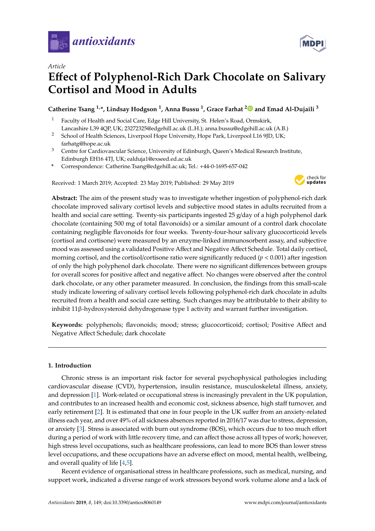



# **E**ff**ect of Polyphenol-Rich Dark Chocolate on Salivary Cortisol and Mood in Adults**

# **Catherine Tsang 1,\*, Lindsay Hodgson <sup>1</sup> , Anna Bussu <sup>1</sup> , Grace Farhat [2](https://orcid.org/0000-0002-7134-7445) and Emad Al-Dujaili <sup>3</sup>**

- <sup>1</sup> Faculty of Health and Social Care, Edge Hill University, St. Helen's Road, Ormskirk, Lancashire L39 4QP, UK; 23272325@edgehill.ac.uk (L.H.); anna.bussu@edgehill.ac.uk (A.B.)
- <sup>2</sup> School of Health Sciences, Liverpool Hope University, Hope Park, Liverpool L16 9JD, UK; farhatg@hope.ac.uk
- <sup>3</sup> Centre for Cardiovascular Science, University of Edinburgh, Queen's Medical Research Institute, Edinburgh EH16 4TJ, UK; ealduja1@exseed.ed.ac.uk
- **\*** Correspondence: Catherine.Tsang@edgehill.ac.uk; Tel.: +44-0-1695-657-042

Received: 1 March 2019; Accepted: 23 May 2019; Published: 29 May 2019



**Abstract:** The aim of the present study was to investigate whether ingestion of polyphenol-rich dark chocolate improved salivary cortisol levels and subjective mood states in adults recruited from a health and social care setting. Twenty-six participants ingested 25 g/day of a high polyphenol dark chocolate (containing 500 mg of total flavonoids) or a similar amount of a control dark chocolate containing negligible flavonoids for four weeks. Twenty-four-hour salivary glucocorticoid levels (cortisol and cortisone) were measured by an enzyme-linked immunosorbent assay, and subjective mood was assessed using a validated Positive Affect and Negative Affect Schedule. Total daily cortisol, morning cortisol, and the cortisol/cortisone ratio were significantly reduced  $(p < 0.001)$  after ingestion of only the high polyphenol dark chocolate. There were no significant differences between groups for overall scores for positive affect and negative affect. No changes were observed after the control dark chocolate, or any other parameter measured. In conclusion, the findings from this small-scale study indicate lowering of salivary cortisol levels following polyphenol-rich dark chocolate in adults recruited from a health and social care setting. Such changes may be attributable to their ability to inhibit 11β-hydroxysteroid dehydrogenase type 1 activity and warrant further investigation.

**Keywords:** polyphenols; flavonoids; mood; stress; glucocorticoid; cortisol; Positive Affect and Negative Affect Schedule; dark chocolate

# **1. Introduction**

Chronic stress is an important risk factor for several psychophysical pathologies including cardiovascular disease (CVD), hypertension, insulin resistance, musculoskeletal illness, anxiety, and depression [\[1\]](#page-7-0). Work-related or occupational stress is increasingly prevalent in the UK population, and contributes to an increased health and economic cost, sickness absence, high staff turnover, and early retirement [\[2\]](#page-7-1). It is estimated that one in four people in the UK suffer from an anxiety-related illness each year, and over 49% of all sickness absences reported in 2016/17 was due to stress, depression, or anxiety [\[3\]](#page-7-2). Stress is associated with burn out syndrome (BOS), which occurs due to too much effort during a period of work with little recovery time, and can affect those across all types of work; however, high stress level occupations, such as healthcare professions, can lead to more BOS than lower stress level occupations, and these occupations have an adverse effect on mood, mental health, wellbeing, and overall quality of life [\[4,](#page-7-3)[5\]](#page-7-4).

Recent evidence of organisational stress in healthcare professions, such as medical, nursing, and support work, indicated a diverse range of work stressors beyond work volume alone and a lack of

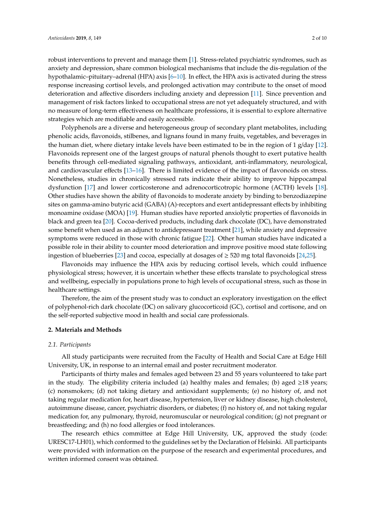robust interventions to prevent and manage them [\[1\]](#page-7-0). Stress-related psychiatric syndromes, such as anxiety and depression, share common biological mechanisms that include the dis-regulation of the hypothalamic–pituitary–adrenal (HPA) axis [\[6–](#page-7-5)[10\]](#page-7-6). In effect, the HPA axis is activated during the stress response increasing cortisol levels, and prolonged activation may contribute to the onset of mood deterioration and affective disorders including anxiety and depression [\[11\]](#page-7-7). Since prevention and management of risk factors linked to occupational stress are not yet adequately structured, and with no measure of long-term effectiveness on healthcare professions, it is essential to explore alternative strategies which are modifiable and easily accessible.

Polyphenols are a diverse and heterogeneous group of secondary plant metabolites, including phenolic acids, flavonoids, stilbenes, and lignans found in many fruits, vegetables, and beverages in the human diet, where dietary intake levels have been estimated to be in the region of 1 g/day [\[12\]](#page-7-8). Flavonoids represent one of the largest groups of natural phenols thought to exert putative health benefits through cell-mediated signaling pathways, antioxidant, anti-inflammatory, neurological, and cardiovascular effects [\[13](#page-7-9)[–16\]](#page-8-0). There is limited evidence of the impact of flavonoids on stress. Nonetheless, studies in chronically stressed rats indicate their ability to improve hippocampal dysfunction [\[17\]](#page-8-1) and lower corticosterone and adrenocorticotropic hormone (ACTH) levels [\[18\]](#page-8-2). Other studies have shown the ability of flavonoids to moderate anxiety by binding to benzodiazepine sites on gamma-amino butyric acid (GABA) (A)-receptors and exert antidepressant effects by inhibiting monoamine oxidase (MOA) [\[19\]](#page-8-3). Human studies have reported anxiolytic properties of flavonoids in black and green tea [\[20\]](#page-8-4). Cocoa-derived products, including dark chocolate (DC), have demonstrated some benefit when used as an adjunct to antidepressant treatment [\[21\]](#page-8-5), while anxiety and depressive symptoms were reduced in those with chronic fatigue [\[22\]](#page-8-6). Other human studies have indicated a possible role in their ability to counter mood deterioration and improve positive mood state following ingestion of blueberries [\[23\]](#page-8-7) and cocoa, especially at dosages of  $\geq$  520 mg total flavonoids [\[24](#page-8-8)[,25\]](#page-8-9).

Flavonoids may influence the HPA axis by reducing cortisol levels, which could influence physiological stress; however, it is uncertain whether these effects translate to psychological stress and wellbeing, especially in populations prone to high levels of occupational stress, such as those in healthcare settings.

Therefore, the aim of the present study was to conduct an exploratory investigation on the effect of polyphenol-rich dark chocolate (DC) on salivary glucocorticoid (GC), cortisol and cortisone, and on the self-reported subjective mood in health and social care professionals.

#### **2. Materials and Methods**

#### *2.1. Participants*

All study participants were recruited from the Faculty of Health and Social Care at Edge Hill University, UK, in response to an internal email and poster recruitment moderator.

Participants of thirty males and females aged between 23 and 55 years volunteered to take part in the study. The eligibility criteria included (a) healthy males and females; (b) aged ≥18 years; (c) nonsmokers; (d) not taking dietary and antioxidant supplements; (e) no history of, and not taking regular medication for, heart disease, hypertension, liver or kidney disease, high cholesterol, autoimmune disease, cancer, psychiatric disorders, or diabetes; (f) no history of, and not taking regular medication for, any pulmonary, thyroid, neuromuscular or neurological condition; (g) not pregnant or breastfeeding; and (h) no food allergies or food intolerances.

The research ethics committee at Edge Hill University, UK, approved the study (code: URESC17-LH01), which conformed to the guidelines set by the Declaration of Helsinki. All participants were provided with information on the purpose of the research and experimental procedures, and written informed consent was obtained.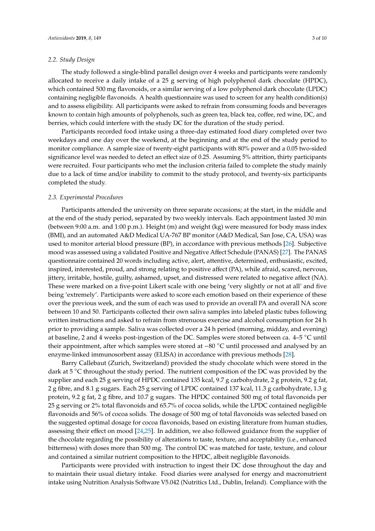#### *2.2. Study Design*

The study followed a single-blind parallel design over 4 weeks and participants were randomly allocated to receive a daily intake of a 25 g serving of high polyphenol dark chocolate (HPDC), which contained 500 mg flavonoids, or a similar serving of a low polyphenol dark chocolate (LPDC) containing negligible flavonoids. A health questionnaire was used to screen for any health condition(s) and to assess eligibility. All participants were asked to refrain from consuming foods and beverages known to contain high amounts of polyphenols, such as green tea, black tea, coffee, red wine, DC, and berries, which could interfere with the study DC for the duration of the study period.

Participants recorded food intake using a three-day estimated food diary completed over two weekdays and one day over the weekend, at the beginning and at the end of the study period to monitor compliance. A sample size of twenty-eight participants with 80% power and a 0.05 two-sided significance level was needed to detect an effect size of 0.25. Assuming 5% attrition, thirty participants were recruited. Four participants who met the inclusion criteria failed to complete the study mainly due to a lack of time and/or inability to commit to the study protocol, and twenty-six participants completed the study.

#### *2.3. Experimental Procedures*

Participants attended the university on three separate occasions; at the start, in the middle and at the end of the study period, separated by two weekly intervals. Each appointment lasted 30 min (between 9:00 a.m. and 1:00 p.m.). Height (m) and weight (kg) were measured for body mass index (BMI), and an automated A&D Medical UA-767 BP monitor (A&D Medical, San Jose, CA, USA) was used to monitor arterial blood pressure (BP), in accordance with previous methods [\[26\]](#page-8-10). Subjective mood was assessed using a validated Positive and Negative Affect Schedule (PANAS) [\[27\]](#page-8-11). The PANAS questionnaire contained 20 words including active, alert, attentive, determined, enthusiastic, excited, inspired, interested, proud, and strong relating to positive affect (PA), while afraid, scared, nervous, jittery, irritable, hostile, guilty, ashamed, upset, and distressed were related to negative affect (NA). These were marked on a five-point Likert scale with one being 'very slightly or not at all' and five being 'extremely'. Participants were asked to score each emotion based on their experience of these over the previous week, and the sum of each was used to provide an overall PA and overall NA score between 10 and 50. Participants collected their own saliva samples into labeled plastic tubes following written instructions and asked to refrain from strenuous exercise and alcohol consumption for 24 h prior to providing a sample. Saliva was collected over a 24 h period (morning, midday, and evening) at baseline, 2 and 4 weeks post-ingestion of the DC. Samples were stored between ca. 4–5 ◦C until their appointment, after which samples were stored at −80 ◦C until processed and analysed by an enzyme-linked immunosorbent assay (ELISA) in accordance with previous methods [\[28\]](#page-8-12).

Barry Callebaut (Zurich, Switzerland) provided the study chocolate which were stored in the dark at  $5^{\circ}$ C throughout the study period. The nutrient composition of the DC was provided by the supplier and each 25 g serving of HPDC contained 135 kcal, 9.7 g carbohydrate, 2 g protein, 9.2 g fat, 2 g fibre, and 8.1 g sugars. Each 25 g serving of LPDC contained 137 kcal, 11.3 g carbohydrate, 1.3 g protein, 9.2 g fat, 2 g fibre, and 10.7 g sugars. The HPDC contained 500 mg of total flavonoids per 25 g serving or 2% total flavonoids and 65.7% of cocoa solids, while the LPDC contained negligible flavonoids and 56% of cocoa solids. The dosage of 500 mg of total flavonoids was selected based on the suggested optimal dosage for cocoa flavonoids, based on existing literature from human studies, assessing their effect on mood [\[24](#page-8-8)[,25\]](#page-8-9). In addition, we also followed guidance from the supplier of the chocolate regarding the possibility of alterations to taste, texture, and acceptability (i.e., enhanced bitterness) with doses more than 500 mg. The control DC was matched for taste, texture, and colour and contained a similar nutrient composition to the HPDC, albeit negligible flavonoids.

Participants were provided with instruction to ingest their DC dose throughout the day and to maintain their usual dietary intake. Food diaries were analysed for energy and macronutrient intake using Nutrition Analysis Software V5.042 (Nutritics Ltd., Dublin, Ireland). Compliance with the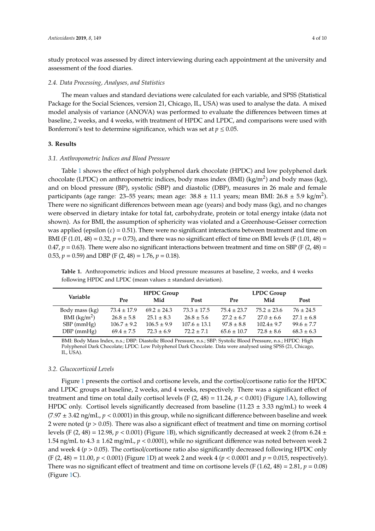study protocol was assessed by direct interviewing during each appointment at the university and assessment of the food diaries.

#### *2.4. Data Processing, Analyses, and Statistics*

The mean values and standard deviations were calculated for each variable, and SPSS (Statistical Package for the Social Sciences, version 21, Chicago, IL, USA) was used to analyse the data. A mixed model analysis of variance (ANOVA) was performed to evaluate the differences between times at baseline, 2 weeks, and 4 weeks, with treatment of HPDC and LPDC, and comparisons were used with Bonferroni's test to determine significance, which was set at  $p \leq 0.05$ .

# **3. Results**

#### *3.1. Anthropometric Indices and Blood Pressure*

Table [1](#page-3-0) shows the effect of high polyphenol dark chocolate (HPDC) and low polyphenol dark chocolate (LPDC) on anthropometric indices, body mass index (BMI) (kg/m<sup>2</sup>) and body mass (kg), and on blood pressure (BP), systolic (SBP) and diastolic (DBP), measures in 26 male and female participants (age range: 23–55 years; mean age:  $38.8 \pm 11.1$  years; mean BMI:  $26.8 \pm 5.9$  kg/m<sup>2</sup>). There were no significant differences between mean age (years) and body mass (kg), and no changes were observed in dietary intake for total fat, carbohydrate, protein or total energy intake (data not shown). As for BMI, the assumption of sphericity was violated and a Greenhouse-Geisser correction was applied (epsilon  $(\varepsilon) = 0.51$ ). There were no significant interactions between treatment and time on BMI (F (1.01, 48) = 0.32,  $p = 0.73$ ), and there was no significant effect of time on BMI levels (F (1.01, 48) = 0.47,  $p = 0.63$ ). There were also no significant interactions between treatment and time on SBP (F (2, 48) = 0.53,  $p = 0.59$ ) and DBP (F (2, 48) = 1.76,  $p = 0.18$ ).

<span id="page-3-0"></span>**Table 1.** Anthropometric indices and blood pressure measures at baseline, 2 weeks, and 4 weeks following HPDC and LPDC (mean values ± standard deviation).

| Variable                    | <b>HPDC Group</b> |                 |                  | <b>LPDC Group</b> |                 |                |
|-----------------------------|-------------------|-----------------|------------------|-------------------|-----------------|----------------|
|                             | Pre               | Mid             | Post             | Pre               | Mid             | <b>Post</b>    |
| Body mass (kg)              | $73.4 \pm 17.9$   | $69.2 \pm 24.3$ | $73.3 \pm 17.5$  | $75.4 \pm 23.7$   | $75.2 \pm 23.6$ | $76 \pm 24.5$  |
| BMI $\frac{\text{kg}}{m^2}$ | $26.8 \pm 5.8$    | $25.1 \pm 8.3$  | $26.8 \pm 5.6$   | $27.2 \pm 6.7$    | $27.0 \pm 6.6$  | $27.1 \pm 6.8$ |
| $SBP$ (mmHg)                | $106.7 \pm 9.2$   | $106.5 \pm 9.9$ | $107.6 \pm 13.1$ | $97.8 \pm 8.8$    | $102.4 \pm 9.7$ | $99.6 \pm 7.7$ |
| $DBP$ (mmHg)                | $69.4 \pm 7.5$    | $72.3 \pm 6.9$  | $72.2 + 7.1$     | $65.6 \pm 10.7$   | $72.8 \pm 8.6$  | $68.3 \pm 6.3$ |

BMI: Body Mass Index, n.s.; DBP: Diastolic Blood Pressure, n.s.; SBP: Systolic Blood Pressure, n.s.; HPDC: High Polyphenol Dark Chocolate; LPDC: Low Polyphenol Dark Chocolate. Data were analysed using SPSS (21, Chicago, IL, USA).

# *3.2. Glucocorticoid Levels*

Figure [1](#page-4-0) presents the cortisol and cortisone levels, and the cortisol/cortisone ratio for the HPDC and LPDC groups at baseline, 2 weeks, and 4 weeks, respectively. There was a significant effect of treatment and time on total daily cortisol levels (F  $(2, 48) = 11.24$ ,  $p < 0.001$ ) (Figure [1A](#page-4-0)), following HPDC only. Cortisol levels significantly decreased from baseline (11.23  $\pm$  3.33 ng/mL) to week 4  $(7.97 \pm 3.42 \text{ ng/mL}, p < 0.0001)$  in this group, while no significant difference between baseline and week 2 were noted ( $p > 0.05$ ). There was also a significant effect of treatment and time on morning cortisol levels (F (2, 48) = 12.98,  $p < 0.001$ ) (Figure [1B](#page-4-0)), which significantly decreased at week 2 (from 6.24  $\pm$ 1.54 ng/mL to  $4.3 \pm 1.62$  mg/mL,  $p < 0.0001$ ), while no significant difference was noted between week 2 and week  $4 (p > 0.05)$ . The cortisol/cortisone ratio also significantly decreased following HPDC only (F (2, 48) = 11.00, *p* < 0.001) (Figure [1D](#page-4-0)) at week 2 and week 4 (*p* < 0.0001 and *p* = 0.015, respectively). There was no significant effect of treatment and time on cortisone levels (F  $(1.62, 48) = 2.81, p = 0.08$ ) (Figure [1C](#page-4-0)).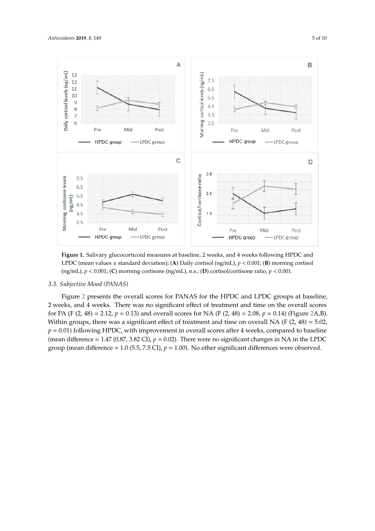<span id="page-4-0"></span>

LPDC (mean values  $\pm$  standard deviation); (A) Daily cortisol (ng/mL),  $p < 0.001$ ; (B) morning cortisol (ng/mL),  $p < 0.001$ ; (C) morning cortisone (ng/mL), n.s.; (D) cortisol/cortisone ratio,  $p < 0.001$ . **Figure 1.** Salivary glucocorticoid measures at baseline, 2 weeks, and 4 weeks following HPDC and

#### *3.3. Subjective Mood (PANAS)*

Figure [2](#page-5-0) presents the overall scores for PANAS for the HPDC and LPDC groups at baseline, 2 weeks, and 4 weeks. There was no significant effect of treatment and time on the overall scores for PA (F (2, 48) = 2.12,  $p = 0.13$ ) and overall scores for NA (F (2, 48) = 2.08,  $p = 0.14$ ) (Figure [2A](#page-5-0),B). Within groups, there was a significant effect of treatment and time on overall NA (F (2, 48) = 5.02,  $p = 0.01$ ) following HPDC, with improvement in overall scores after 4 weeks, compared to baseline (mean difference = 1.47 (0.87, 3.82 CI),  $p = 0.02$ ). There were no significant changes in NA in the LPDC group (mean difference = 1.0 (5.5, 7.5 CI),  $p = 1.00$ ). No other significant differences were observed.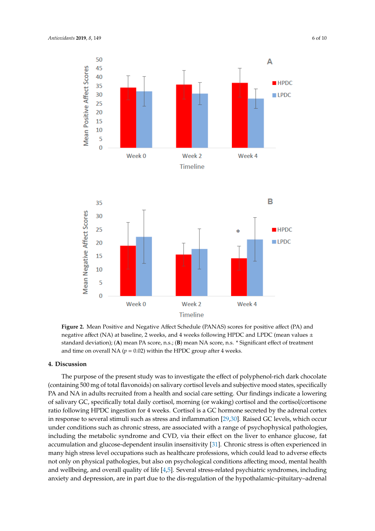<span id="page-5-0"></span>



negative affect (NA) at baseline, 2 weeks, and 4 weeks following HPDC and LPDC (mean values  $\pm$ standard deviation); (A) mean PA score, n.s.; (B) mean NA score, n.s. \* Significant effect of treatment and time on overall NA ( $p = 0.02$ ) within the HPDC group after 4 weeks. **Figure 2.** Mean Positive and Negative Affect Schedule (PANAS) scores for positive affect (PA) and

#### **4. Discussion**

The purpose of the present study was to investigate the effect of polyphenol-rich dark chocolate (containing 500 mg of total flavonoids) on salivary cortisol levels and subjective mood states, specifically PA and NA in adults recruited from a health and social care setting. Our findings indicate a lowering of salivary GC, specifically total daily cortisol, morning (or waking) cortisol and the cortisol/cortisone ratio following HPDC ingestion for 4 weeks. Cortisol is a GC hormone secreted by the adrenal cortex in response to several stimuli such as stress and inflammation  $[29,30]$  $[29,30]$ . Raised GC levels, which occur under conditions such as chronic stress, are associated with a range of psychophysical pathologies, including the metabolic syndrome and CVD, via their effect on the liver to enhance glucose, fat accumulation and glucose-dependent insulin insensitivity [\[31\]](#page-8-15). Chronic stress is often experienced in many high stress level occupations such as healthcare professions, which could lead to adverse effects not only on physical pathologies, but also on psychological conditions affecting mood, mental health and wellbeing, and overall quality of life  $[4,5]$  $[4,5]$ . Several stress-related psychiatric syndromes, including anxiety and depression, are in part due to the dis-regulation of the hypothalamic-pituitary-adrenal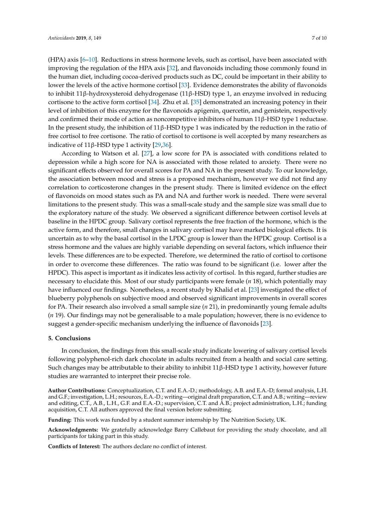(HPA) axis [\[6–](#page-7-5)[10\]](#page-7-6). Reductions in stress hormone levels, such as cortisol, have been associated with improving the regulation of the HPA axis [\[32\]](#page-8-16), and flavonoids including those commonly found in the human diet, including cocoa-derived products such as DC, could be important in their ability to lower the levels of the active hormone cortisol [\[33\]](#page-8-17). Evidence demonstrates the ability of flavonoids to inhibit 11β-hydroxysteroid dehydrogenase (11β-HSD) type 1, an enzyme involved in reducing cortisone to the active form cortisol [\[34\]](#page-8-18). Zhu et al. [\[35\]](#page-9-0) demonstrated an increasing potency in their level of inhibition of this enzyme for the flavonoids apigenin, quercetin, and genistein, respectively and confirmed their mode of action as noncompetitive inhibitors of human 11β-HSD type 1 reductase. In the present study, the inhibition of  $11\beta$ -HSD type 1 was indicated by the reduction in the ratio of free cortisol to free cortisone. The ratio of cortisol to cortisone is well accepted by many researchers as indicative of 11β-HSD type 1 activity  $[29,36]$  $[29,36]$ .

According to Watson et al. [\[27\]](#page-8-11), a low score for PA is associated with conditions related to depression while a high score for NA is associated with those related to anxiety. There were no significant effects observed for overall scores for PA and NA in the present study. To our knowledge, the association between mood and stress is a proposed mechanism, however we did not find any correlation to corticosterone changes in the present study. There is limited evidence on the effect of flavonoids on mood states such as PA and NA and further work is needed. There were several limitations to the present study. This was a small-scale study and the sample size was small due to the exploratory nature of the study. We observed a significant difference between cortisol levels at baseline in the HPDC group. Salivary cortisol represents the free fraction of the hormone, which is the active form, and therefore, small changes in salivary cortisol may have marked biological effects. It is uncertain as to why the basal cortisol in the LPDC group is lower than the HPDC group. Cortisol is a stress hormone and the values are highly variable depending on several factors, which influence their levels. These differences are to be expected. Therefore, we determined the ratio of cortisol to cortisone in order to overcome these differences. The ratio was found to be significant (i.e. lower after the HPDC). This aspect is important as it indicates less activity of cortisol. In this regard, further studies are necessary to elucidate this. Most of our study participants were female (*n* 18), which potentially may have influenced our findings. Nonetheless, a recent study by Khalid et al. [\[23\]](#page-8-7) investigated the effect of blueberry polyphenols on subjective mood and observed significant improvements in overall scores for PA. Their research also involved a small sample size (*n* 21), in predominantly young female adults (*n* 19). Our findings may not be generalisable to a male population; however, there is no evidence to suggest a gender-specific mechanism underlying the influence of flavonoids [\[23\]](#page-8-7).

# **5. Conclusions**

In conclusion, the findings from this small-scale study indicate lowering of salivary cortisol levels following polyphenol-rich dark chocolate in adults recruited from a health and social care setting. Such changes may be attributable to their ability to inhibit  $11\beta$ -HSD type 1 activity, however future studies are warranted to interpret their precise role.

**Author Contributions:** Conceptualization, C.T. and E.A.-D.; methodology, A.B. and E.A.-D; formal analysis, L.H. and G.F.; investigation, L.H.; resources, E.A.-D.; writing—original draft preparation, C.T. and A.B.; writing—review and editing, C.T., A.B., L.H., G.F. and E.A.-D.; supervision, C.T. and A.B.; project administration, L.H.; funding acquisition, C.T. All authors approved the final version before submitting.

**Funding:** This work was funded by a student summer internship by The Nutrition Society, UK.

**Acknowledgments:** We gratefully acknowledge Barry Callebaut for providing the study chocolate, and all participants for taking part in this study.

**Conflicts of Interest:** The authors declare no conflict of interest.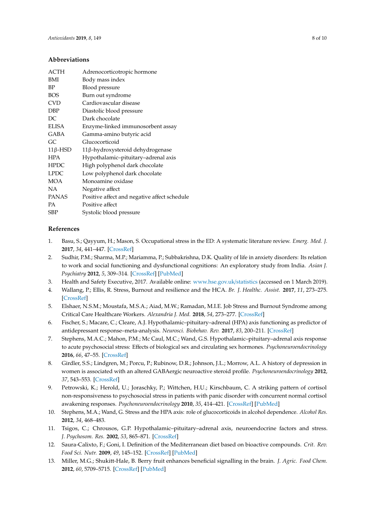# **Abbreviations**

| <b>ACTH</b>    | Adrenocorticotropic hormone                  |  |  |
|----------------|----------------------------------------------|--|--|
| <b>BMI</b>     | Body mass index                              |  |  |
| BP             | Blood pressure                               |  |  |
| <b>BOS</b>     | Burn out syndrome                            |  |  |
| <b>CVD</b>     | Cardiovascular disease                       |  |  |
| <b>DBP</b>     | Diastolic blood pressure                     |  |  |
| DC.            | Dark chocolate                               |  |  |
| <b>ELISA</b>   | Enzyme-linked immunosorbent assay            |  |  |
| GABA           | Gamma-amino butyric acid                     |  |  |
| GC.            | Glucocorticoid                               |  |  |
| $11\beta$ -HSD | 11β-hydroxysteroid dehydrogenase             |  |  |
| <b>HPA</b>     | Hypothalamic-pituitary-adrenal axis          |  |  |
| <b>HPDC</b>    | High polyphenol dark chocolate               |  |  |
| <b>LPDC</b>    | Low polyphenol dark chocolate                |  |  |
| <b>MOA</b>     | Monoamine oxidase                            |  |  |
| <b>NA</b>      | Negative affect                              |  |  |
| <b>PANAS</b>   | Positive affect and negative affect schedule |  |  |
| <b>PA</b>      | Positive affect                              |  |  |
| <b>SBP</b>     | Systolic blood pressure                      |  |  |
|                |                                              |  |  |

# **References**

- <span id="page-7-0"></span>1. Basu, S.; Qayyum, H.; Mason, S. Occupational stress in the ED: A systematic literature review. *Emerg. Med. J.* **2017**, *34*, 441–447. [\[CrossRef\]](http://dx.doi.org/10.1136/emermed-2016-205827)
- <span id="page-7-1"></span>2. Sudhir, P.M.; Sharma, M.P.; Mariamma, P.; Subbakrishna, D.K. Quality of life in anxiety disorders: Its relation to work and social functioning and dysfunctional cognitions: An exploratory study from India. *Asian J. Psychiatry* **2012**, *5*, 309–314. [\[CrossRef\]](http://dx.doi.org/10.1016/j.ajp.2012.05.006) [\[PubMed\]](http://www.ncbi.nlm.nih.gov/pubmed/23174438)
- <span id="page-7-2"></span>3. Health and Safety Executive, 2017. Available online: [www.hse.gov.uk](www.hse.gov.uk/statistics)/statistics (accessed on 1 March 2019).
- <span id="page-7-3"></span>4. Wallang, P.; Ellis, R. Stress, Burnout and resilience and the HCA. *Br. J. Healthc. Assist.* **2017**, *11*, 273–275. [\[CrossRef\]](http://dx.doi.org/10.12968/bjha.2017.11.6.273)
- <span id="page-7-4"></span>5. Elshaer, N.S.M.; Moustafa, M.S.A.; Aiad, M.W.; Ramadan, M.I.E. Job Stress and Burnout Syndrome among Critical Care Healthcare Workers. *Alexandria J. Med.* **2018**, *54*, 273–277. [\[CrossRef\]](http://dx.doi.org/10.1016/j.ajme.2017.06.004)
- <span id="page-7-5"></span>6. Fischer, S.; Macare, C.; Cleare, A.J. Hypothalamic–pituitary–adrenal (HPA) axis functioning as predictor of antidepressant response–meta-analysis. *Neurosci. Biobehav. Rev.* **2017**, *83*, 200–211. [\[CrossRef\]](http://dx.doi.org/10.1016/j.neubiorev.2017.10.012)
- 7. Stephens, M.A.C.; Mahon, P.M.; Mc Caul, M.C.; Wand, G.S. Hypothalamic–pituitary–adrenal axis response to acute psychosocial stress: Effects of biological sex and circulating sex hormones. *Psychoneuroendocrinology* **2016**, *66*, 47–55. [\[CrossRef\]](http://dx.doi.org/10.1016/j.psyneuen.2015.12.021)
- 8. Girdler, S.S.; Lindgren, M.; Porcu, P.; Rubinow, D.R.; Johnson, J.L.; Morrow, A.L. A history of depression in women is associated with an altered GABAergic neuroactive steroid profile. *Psychoneuroendocrinology* **2012**, *37*, 543–553. [\[CrossRef\]](http://dx.doi.org/10.1016/j.psyneuen.2011.08.004)
- 9. Petrowski, K.; Herold, U.; Joraschky, P.; Wittchen, H.U.; Kirschbaum, C. A striking pattern of cortisol non-responsiveness to psychosocial stress in patients with panic disorder with concurrent normal cortisol awakening responses. *Psychoneuroendocrinology* **2010**, *35*, 414–421. [\[CrossRef\]](http://dx.doi.org/10.1016/j.psyneuen.2009.08.003) [\[PubMed\]](http://www.ncbi.nlm.nih.gov/pubmed/19913360)
- <span id="page-7-6"></span>10. Stephens, M.A.; Wand, G. Stress and the HPA axis: role of glucocorticoids in alcohol dependence. *Alcohol Res.* **2012**, *34*, 468–483.
- <span id="page-7-7"></span>11. Tsigos, C.; Chrousos, G.P. Hypothalamic–pituitary–adrenal axis, neuroendocrine factors and stress. *J. Psychosom. Res.* **2002**, *53*, 865–871. [\[CrossRef\]](http://dx.doi.org/10.1016/S0022-3999(02)00429-4)
- <span id="page-7-8"></span>12. Saura-Calixto, F.; Goni, I. Definition of the Mediterranean diet based on bioactive compounds. *Crit. Rev. Food Sci. Nutr.* **2009**, *49*, 145–152. [\[CrossRef\]](http://dx.doi.org/10.1080/10408390701764732) [\[PubMed\]](http://www.ncbi.nlm.nih.gov/pubmed/18989833)
- <span id="page-7-9"></span>13. Miller, M.G.; Shukitt-Hale, B. Berry fruit enhances beneficial signalling in the brain. *J. Agric. Food Chem.* **2012**, *60*, 5709–5715. [\[CrossRef\]](http://dx.doi.org/10.1021/jf2036033) [\[PubMed\]](http://www.ncbi.nlm.nih.gov/pubmed/22264107)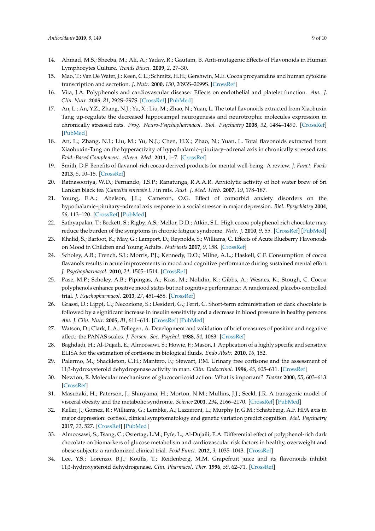- 14. Ahmad, M.S.; Sheeba, M.; Ali, A.; Yadav, R.; Gautam, B. Anti-mutagenic Effects of Flavonoids in Human Lymphocytes Culture. *Trends Biosci.* **2009**, *2*, 27–30.
- 15. Mao, T.; Van De Water, J.; Keen, C.L.; Schmitz, H.H.; Gershwin, M.E. Cocoa procyanidins and human cytokine transcription and secretion. *J. Nutr.* **2000**, *130*, 2093S–2099S. [\[CrossRef\]](http://dx.doi.org/10.1093/jn/130.8.2093S)
- <span id="page-8-0"></span>16. Vita, J.A. Polyphenols and cardiovascular disease: Effects on endothelial and platelet function. *Am. J. Clin. Nutr.* **2005**, *81*, 292S–297S. [\[CrossRef\]](http://dx.doi.org/10.1093/ajcn/81.1.292S) [\[PubMed\]](http://www.ncbi.nlm.nih.gov/pubmed/15640493)
- <span id="page-8-1"></span>17. An, L.; An, Y.Z.; Zhang, N.J.; Yu, X.; Liu, M.; Zhao, N.; Yuan, L. The total flavonoids extracted from Xiaobuxin Tang up-regulate the decreased hippocampal neurogenesis and neurotrophic molecules expression in chronically stressed rats. *Prog. Neuro-Psychopharmacol. Biol. Psychiatry* **2008**, *32*, 1484–1490. [\[CrossRef\]](http://dx.doi.org/10.1016/j.pnpbp.2008.05.005) [\[PubMed\]](http://www.ncbi.nlm.nih.gov/pubmed/18547700)
- <span id="page-8-2"></span>18. An, L.; Zhang, N.J.; Liu, M.; Yu, N.J.; Chen, H.X.; Zhao, N.; Yuan, L. Total flavonoids extracted from Xiaobuxin-Tang on the hyperactivity of hypothalamic–pituitary–adrenal axis in chronically stressed rats. *Evid.-Based Complement. Altern. Med.* **2011**, 1–7. [\[CrossRef\]](http://dx.doi.org/10.1093/ecam/nep218)
- <span id="page-8-3"></span>19. Smith, D.F. Benefits of flavanol-rich cocoa-derived products for mental well-being: A review. *J. Funct. Foods* **2013**, *5*, 10–15. [\[CrossRef\]](http://dx.doi.org/10.1016/j.jff.2012.09.002)
- <span id="page-8-4"></span>20. Ratnasooriya, W.D.; Fernando, T.S.P.; Ranatunga, R.A.A.R. Anxiolytic activity of hot water brew of Sri Lankan black tea (*Camellia sinensis L.)* in rats. *Aust. J. Med. Herb.* **2007**, *19*, 178–187.
- <span id="page-8-5"></span>21. Young, E.A.; Abelson, J.L.; Cameron, O.G. Effect of comorbid anxiety disorders on the hypothalamic–pituitary–adrenal axis response to a social stressor in major depression. *Biol. Ppsychiatry* **2004**, *56*, 113–120. [\[CrossRef\]](http://dx.doi.org/10.1016/j.biopsych.2004.03.017) [\[PubMed\]](http://www.ncbi.nlm.nih.gov/pubmed/15231443)
- <span id="page-8-6"></span>22. Sathyapalan, T.; Beckett, S.; Rigby, A.S.; Mellor, D.D.; Atkin, S.L. High cocoa polyphenol rich chocolate may reduce the burden of the symptoms in chronic fatigue syndrome. *Nutr. J.* **2010**, *9*, 55. [\[CrossRef\]](http://dx.doi.org/10.1186/1475-2891-9-55) [\[PubMed\]](http://www.ncbi.nlm.nih.gov/pubmed/21092175)
- <span id="page-8-7"></span>23. Khalid, S.; Barfoot, K.; May, G.; Lamport, D.; Reynolds, S.; Williams, C. Effects of Acute Blueberry Flavonoids on Mood in Children and Young Adults. *Nutrients* **2017**, *9*, 158. [\[CrossRef\]](http://dx.doi.org/10.3390/nu9020158)
- <span id="page-8-8"></span>24. Scholey, A.B.; French, S.J.; Morris, P.J.; Kennedy, D.O.; Milne, A.L.; Haskell, C.F. Consumption of cocoa flavanols results in acute improvements in mood and cognitive performance during sustained mental effort. *J. Psychopharmacol.* **2010**, *24*, 1505–1514. [\[CrossRef\]](http://dx.doi.org/10.1177/0269881109106923)
- <span id="page-8-9"></span>25. Pase, M.P.; Scholey, A.B.; Pipingas, A.; Kras, M.; Nolidin, K.; Gibbs, A.; Wesnes, K.; Stough, C. Cocoa polyphenols enhance positive mood states but not cognitive performance: A randomized, placebo-controlled trial. *J. Psychopharmacol.* **2013**, *27*, 451–458. [\[CrossRef\]](http://dx.doi.org/10.1177/0269881112473791)
- <span id="page-8-10"></span>26. Grassi, D.; Lippi, C.; Necozione, S.; Desideri, G.; Ferri, C. Short-term administration of dark chocolate is followed by a significant increase in insulin sensitivity and a decrease in blood pressure in healthy persons. *Am. J. Clin. Nutr.* **2005**, *81*, 611–614. [\[CrossRef\]](http://dx.doi.org/10.1093/ajcn/81.3.611) [\[PubMed\]](http://www.ncbi.nlm.nih.gov/pubmed/15755830)
- <span id="page-8-11"></span>27. Watson, D.; Clark, L.A.; Tellegen, A. Development and validation of brief measures of positive and negative affect: the PANAS scales. *J. Person. Soc. Psychol.* **1988**, *54*, 1063. [\[CrossRef\]](http://dx.doi.org/10.1037/0022-3514.54.6.1063)
- <span id="page-8-12"></span>28. Baghdadi, H.; Al-Dujaili, E.; Almoosawi, S.; Howie, F.; Mason, I. Application of a highly specific and sensitive ELISA for the estimation of cortisone in biological fluids. *Endo Abstr.* **2010**, *16*, 152.
- <span id="page-8-13"></span>29. Palermo, M.; Shackleton, C.H.; Mantero, F.; Stewart, P.M. Urinary free cortisone and the assessment of 11β-hydroxysteroid dehydrogenase activity in man. *Clin. Endocrinol.* **1996**, *45*, 605–611. [\[CrossRef\]](http://dx.doi.org/10.1046/j.1365-2265.1996.00853.x)
- <span id="page-8-14"></span>30. Newton, R. Molecular mechanisms of glucocorticoid action: What is important? *Thorax* **2000**, *55*, 603–613. [\[CrossRef\]](http://dx.doi.org/10.1136/thorax.55.7.603)
- <span id="page-8-15"></span>31. Masuzaki, H.; Paterson, J.; Shinyama, H.; Morton, N.M.; Mullins, J.J.; Seckl, J.R. A transgenic model of visceral obesity and the metabolic syndrome. *Science* **2001**, *294*, 2166–2170. [\[CrossRef\]](http://dx.doi.org/10.1126/science.1066285) [\[PubMed\]](http://www.ncbi.nlm.nih.gov/pubmed/11739957)
- <span id="page-8-16"></span>32. Keller, J.; Gomez, R.; Williams, G.; Lembke, A.; Lazzeroni, L.; Murphy Jr, G.M.; Schatzberg, A.F. HPA axis in major depression: cortisol, clinical symptomatology and genetic variation predict cognition. *Mol. Psychiatry* **2017**, *22*, 527. [\[CrossRef\]](http://dx.doi.org/10.1038/mp.2016.120) [\[PubMed\]](http://www.ncbi.nlm.nih.gov/pubmed/27528460)
- <span id="page-8-17"></span>33. Almoosawi, S.; Tsang, C.; Ostertag, L.M.; Fyfe, L.; Al-Dujaili, E.A. Differential effect of polyphenol-rich dark chocolate on biomarkers of glucose metabolism and cardiovascular risk factors in healthy, overweight and obese subjects: a randomized clinical trial. *Food Funct.* **2012**, *3*, 1035–1043. [\[CrossRef\]](http://dx.doi.org/10.1039/c2fo30060e)
- <span id="page-8-18"></span>34. Lee, Y.S.; Lorenzo, B.J.; Koufis, T.; Reidenberg, M.M. Grapefruit juice and its flavonoids inhibit 11β-hydroxysteroid dehydrogenase. *Clin. Pharmacol. Ther.* **1996**, *59*, 62–71. [\[CrossRef\]](http://dx.doi.org/10.1016/S0009-9236(96)90025-9)